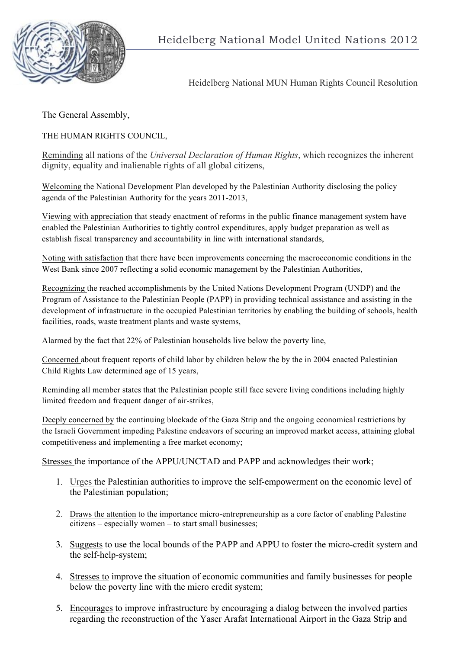

Heidelberg National MUN Human Rights Council Resolution

The General Assembly,

THE HUMAN RIGHTS COUNCIL,

Reminding all nations of the *Universal Declaration of Human Rights*, which recognizes the inherent dignity, equality and inalienable rights of all global citizens,

Welcoming the National Development Plan developed by the Palestinian Authority disclosing the policy agenda of the Palestinian Authority for the years 2011-2013,

Viewing with appreciation that steady enactment of reforms in the public finance management system have enabled the Palestinian Authorities to tightly control expenditures, apply budget preparation as well as establish fiscal transparency and accountability in line with international standards,

Noting with satisfaction that there have been improvements concerning the macroeconomic conditions in the West Bank since 2007 reflecting a solid economic management by the Palestinian Authorities,

Recognizing the reached accomplishments by the United Nations Development Program (UNDP) and the Program of Assistance to the Palestinian People (PAPP) in providing technical assistance and assisting in the development of infrastructure in the occupied Palestinian territories by enabling the building of schools, health facilities, roads, waste treatment plants and waste systems,

Alarmed by the fact that 22% of Palestinian households live below the poverty line,

Concerned about frequent reports of child labor by children below the by the in 2004 enacted Palestinian Child Rights Law determined age of 15 years,

Reminding all member states that the Palestinian people still face severe living conditions including highly limited freedom and frequent danger of air-strikes,

Deeply concerned by the continuing blockade of the Gaza Strip and the ongoing economical restrictions by the Israeli Government impeding Palestine endeavors of securing an improved market access, attaining global competitiveness and implementing a free market economy;

Stresses the importance of the APPU/UNCTAD and PAPP and acknowledges their work;

- 1. Urges the Palestinian authorities to improve the self-empowerment on the economic level of the Palestinian population;
- 2. Draws the attention to the importance micro-entrepreneurship as a core factor of enabling Palestine citizens – especially women – to start small businesses;
- 3. Suggests to use the local bounds of the PAPP and APPU to foster the micro-credit system and the self-help-system;
- 4. Stresses to improve the situation of economic communities and family businesses for people below the poverty line with the micro credit system;
- 5. Encourages to improve infrastructure by encouraging a dialog between the involved parties regarding the reconstruction of the Yaser Arafat International Airport in the Gaza Strip and